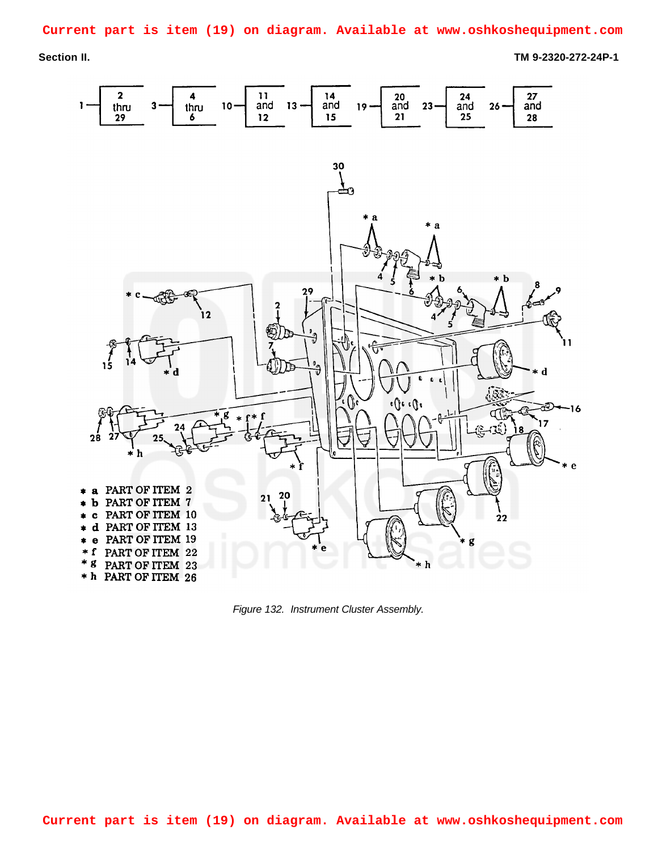**Current part is item (19) on diagram. Available at www.oshkoshequipment.com**

**Section II. TM 9-2320-272-24P-1**



<span id="page-0-0"></span>*Figure 132. Instrument Cluster Assembly.*